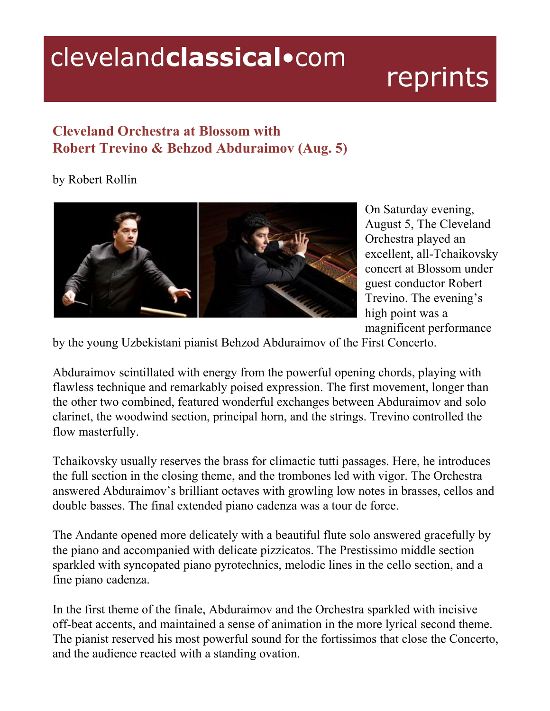## clevelandclassical.com

## reprints

## **Cleveland Orchestra at Blossom with Robert Trevino & Behzod Abduraimov (Aug. 5)**

## by Robert Rollin



On Saturday evening, August 5, The Cleveland Orchestra played an excellent, all-Tchaikovsky concert at Blossom under guest conductor Robert Trevino. The evening's high point was a magnificent performance

by the young Uzbekistani pianist Behzod Abduraimov of the First Concerto.

Abduraimov scintillated with energy from the powerful opening chords, playing with flawless technique and remarkably poised expression. The first movement, longer than the other two combined, featured wonderful exchanges between Abduraimov and solo clarinet, the woodwind section, principal horn, and the strings. Trevino controlled the flow masterfully.

Tchaikovsky usually reserves the brass for climactic tutti passages. Here, he introduces the full section in the closing theme, and the trombones led with vigor. The Orchestra answered Abduraimov's brilliant octaves with growling low notes in brasses, cellos and double basses. The final extended piano cadenza was a tour de force.

The Andante opened more delicately with a beautiful flute solo answered gracefully by the piano and accompanied with delicate pizzicatos. The Prestissimo middle section sparkled with syncopated piano pyrotechnics, melodic lines in the cello section, and a fine piano cadenza.

In the first theme of the finale, Abduraimov and the Orchestra sparkled with incisive off-beat accents, and maintained a sense of animation in the more lyrical second theme. The pianist reserved his most powerful sound for the fortissimos that close the Concerto, and the audience reacted with a standing ovation.